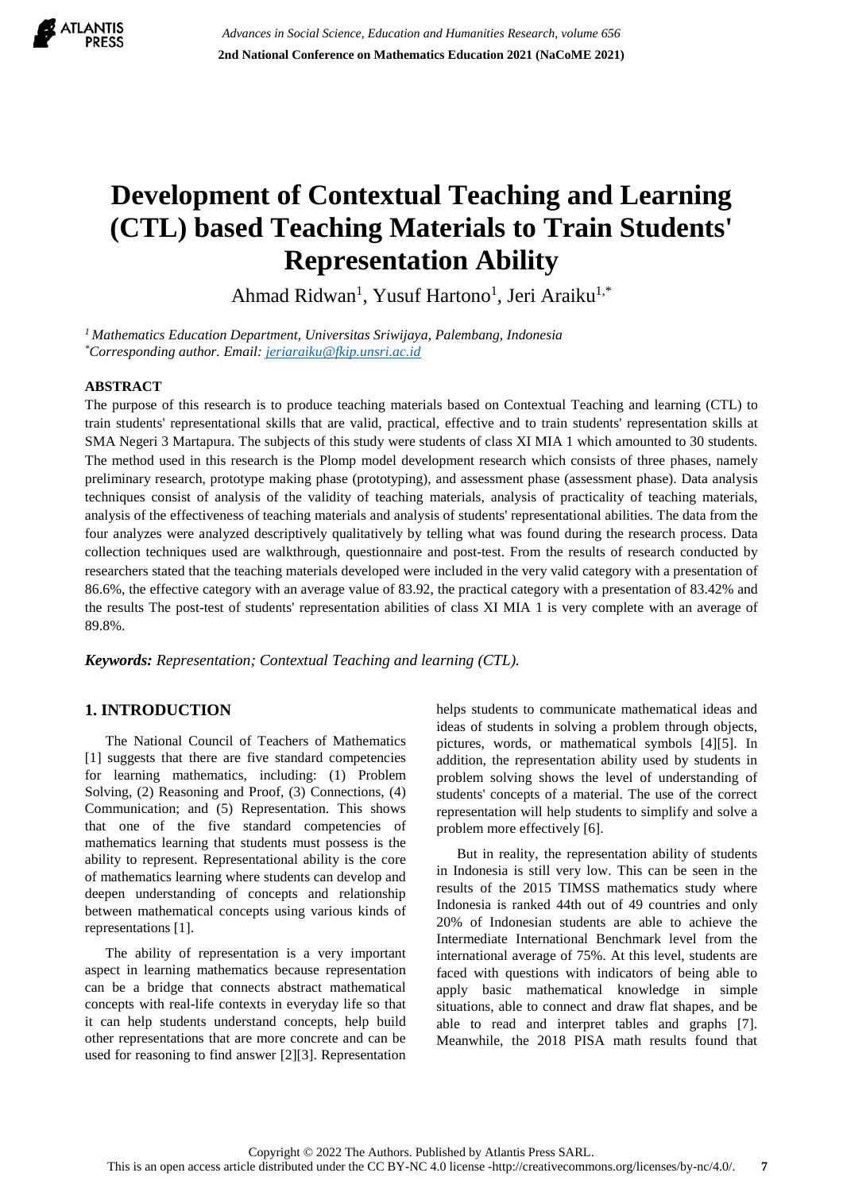

# **Development of Contextual Teaching and Learning (CTL) based Teaching Materials to Train Students' Representation Ability**

Ahmad Ridwan<sup>1</sup>, Yusuf Hartono<sup>1</sup>, Jeri Araiku<sup>1,\*</sup>

*<sup>1</sup> Mathematics Education Department, Universitas Sriwijaya, Palembang, Indonesia \*Corresponding author. Email: [jeriaraiku@fkip.unsri.ac.id](mailto:jeriaraiku@fkip.unsri.ac.id)*

# **ABSTRACT**

The purpose of this research is to produce teaching materials based on Contextual Teaching and learning (CTL) to train students' representational skills that are valid, practical, effective and to train students' representation skills at SMA Negeri 3 Martapura. The subjects of this study were students of class XI MIA 1 which amounted to 30 students. The method used in this research is the Plomp model development research which consists of three phases, namely preliminary research, prototype making phase (prototyping), and assessment phase (assessment phase). Data analysis techniques consist of analysis of the validity of teaching materials, analysis of practicality of teaching materials, analysis of the effectiveness of teaching materials and analysis of students' representational abilities. The data from the four analyzes were analyzed descriptively qualitatively by telling what was found during the research process. Data collection techniques used are walkthrough, questionnaire and post-test. From the results of research conducted by researchers stated that the teaching materials developed were included in the very valid category with a presentation of 86.6%, the effective category with an average value of 83.92, the practical category with a presentation of 83.42% and the results The post-test of students' representation abilities of class XI MIA 1 is very complete with an average of 89.8%.

*Keywords: Representation; Contextual Teaching and learning (CTL).*

# **1. INTRODUCTION**

The National Council of Teachers of Mathematics [1] suggests that there are five standard competencies for learning mathematics, including: (1) Problem Solving, (2) Reasoning and Proof, (3) Connections, (4) Communication; and (5) Representation. This shows that one of the five standard competencies of mathematics learning that students must possess is the ability to represent. Representational ability is the core of mathematics learning where students can develop and deepen understanding of concepts and relationship between mathematical concepts using various kinds of representations [1].

The ability of representation is a very important aspect in learning mathematics because representation can be a bridge that connects abstract mathematical concepts with real-life contexts in everyday life so that it can help students understand concepts, help build other representations that are more concrete and can be used for reasoning to find answer [2][3]. Representation helps students to communicate mathematical ideas and ideas of students in solving a problem through objects, pictures, words, or mathematical symbols [4][5]. In addition, the representation ability used by students in problem solving shows the level of understanding of students' concepts of a material. The use of the correct representation will help students to simplify and solve a problem more effectively [6].

But in reality, the representation ability of students in Indonesia is still very low. This can be seen in the results of the 2015 TIMSS mathematics study where Indonesia is ranked 44th out of 49 countries and only 20% of Indonesian students are able to achieve the Intermediate International Benchmark level from the international average of 75%. At this level, students are faced with questions with indicators of being able to apply basic mathematical knowledge in simple situations, able to connect and draw flat shapes, and be able to read and interpret tables and graphs [7]. Meanwhile, the 2018 PISA math results found that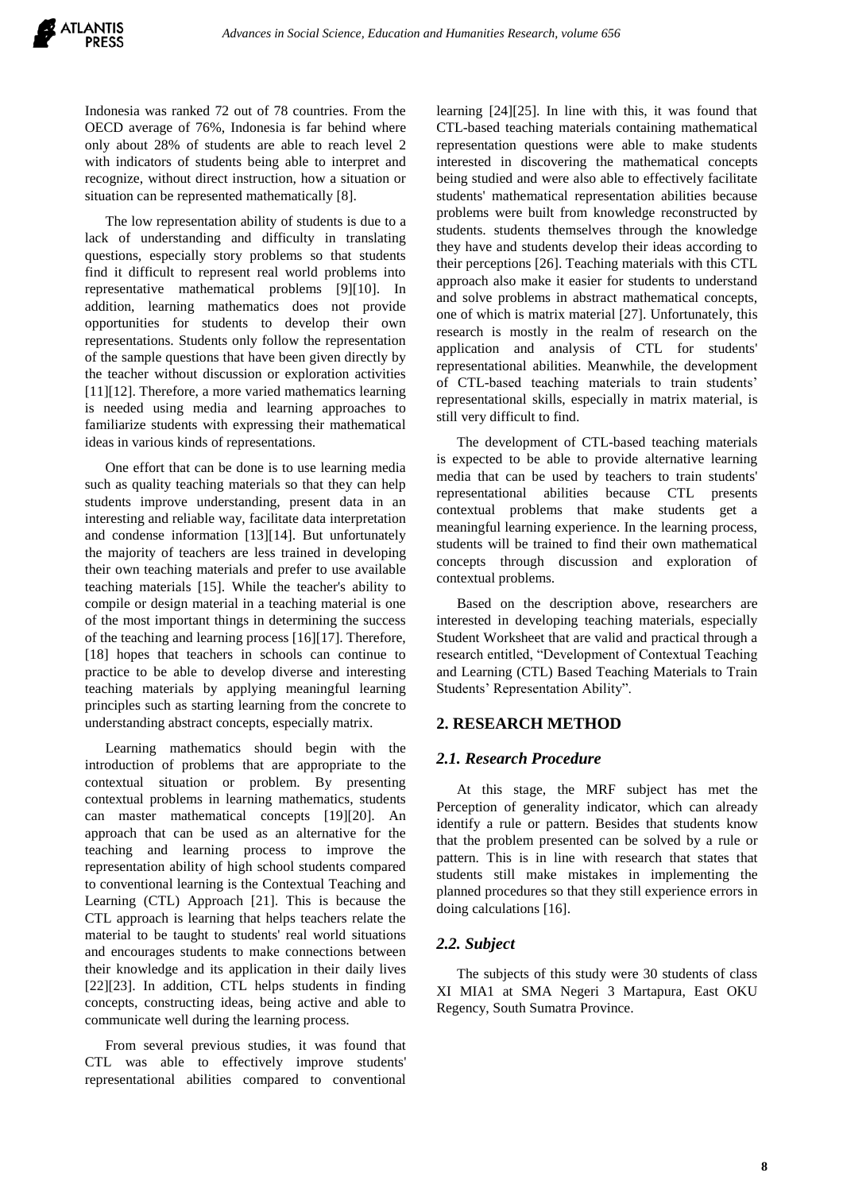Indonesia was ranked 72 out of 78 countries. From the OECD average of 76%, Indonesia is far behind where only about 28% of students are able to reach level 2 with indicators of students being able to interpret and recognize, without direct instruction, how a situation or situation can be represented mathematically [8].

The low representation ability of students is due to a lack of understanding and difficulty in translating questions, especially story problems so that students find it difficult to represent real world problems into representative mathematical problems [9][10]. In addition, learning mathematics does not provide opportunities for students to develop their own representations. Students only follow the representation of the sample questions that have been given directly by the teacher without discussion or exploration activities [11][12]. Therefore, a more varied mathematics learning is needed using media and learning approaches to familiarize students with expressing their mathematical ideas in various kinds of representations.

One effort that can be done is to use learning media such as quality teaching materials so that they can help students improve understanding, present data in an interesting and reliable way, facilitate data interpretation and condense information [13][14]. But unfortunately the majority of teachers are less trained in developing their own teaching materials and prefer to use available teaching materials [15]. While the teacher's ability to compile or design material in a teaching material is one of the most important things in determining the success of the teaching and learning process [16][17]. Therefore, [18] hopes that teachers in schools can continue to practice to be able to develop diverse and interesting teaching materials by applying meaningful learning principles such as starting learning from the concrete to understanding abstract concepts, especially matrix.

Learning mathematics should begin with the introduction of problems that are appropriate to the contextual situation or problem. By presenting contextual problems in learning mathematics, students can master mathematical concepts [19][20]. An approach that can be used as an alternative for the teaching and learning process to improve the representation ability of high school students compared to conventional learning is the Contextual Teaching and Learning (CTL) Approach [21]. This is because the CTL approach is learning that helps teachers relate the material to be taught to students' real world situations and encourages students to make connections between their knowledge and its application in their daily lives [22][23]. In addition, CTL helps students in finding concepts, constructing ideas, being active and able to communicate well during the learning process.

From several previous studies, it was found that CTL was able to effectively improve students' representational abilities compared to conventional learning [24][25]. In line with this, it was found that CTL-based teaching materials containing mathematical representation questions were able to make students interested in discovering the mathematical concepts being studied and were also able to effectively facilitate students' mathematical representation abilities because problems were built from knowledge reconstructed by students. students themselves through the knowledge they have and students develop their ideas according to their perceptions [26]. Teaching materials with this CTL approach also make it easier for students to understand and solve problems in abstract mathematical concepts, one of which is matrix material [27]. Unfortunately, this research is mostly in the realm of research on the application and analysis of CTL for students' representational abilities. Meanwhile, the development of CTL-based teaching materials to train students' representational skills, especially in matrix material, is still very difficult to find.

The development of CTL-based teaching materials is expected to be able to provide alternative learning media that can be used by teachers to train students' representational abilities because CTL presents contextual problems that make students get a meaningful learning experience. In the learning process, students will be trained to find their own mathematical concepts through discussion and exploration of contextual problems.

Based on the description above, researchers are interested in developing teaching materials, especially Student Worksheet that are valid and practical through a research entitled, "Development of Contextual Teaching and Learning (CTL) Based Teaching Materials to Train Students' Representation Ability".

# **2. RESEARCH METHOD**

# *2.1. Research Procedure*

At this stage, the MRF subject has met the Perception of generality indicator, which can already identify a rule or pattern. Besides that students know that the problem presented can be solved by a rule or pattern. This is in line with research that states that students still make mistakes in implementing the planned procedures so that they still experience errors in doing calculations [16].

# *2.2. Subject*

The subjects of this study were 30 students of class XI MIA1 at SMA Negeri 3 Martapura, East OKU Regency, South Sumatra Province.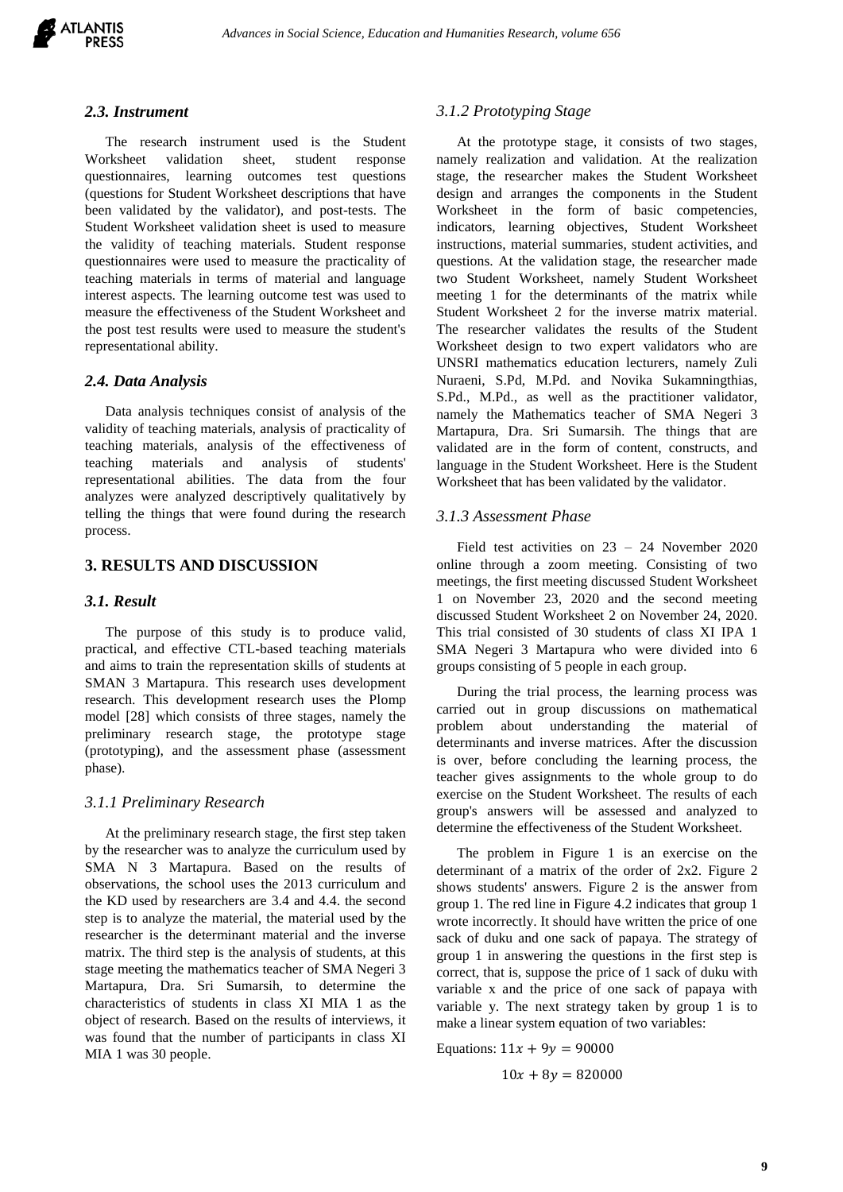

#### *2.3. Instrument*

The research instrument used is the Student Worksheet validation sheet, student response questionnaires, learning outcomes test questions (questions for Student Worksheet descriptions that have been validated by the validator), and post-tests. The Student Worksheet validation sheet is used to measure the validity of teaching materials. Student response questionnaires were used to measure the practicality of teaching materials in terms of material and language interest aspects. The learning outcome test was used to measure the effectiveness of the Student Worksheet and the post test results were used to measure the student's representational ability.

# *2.4. Data Analysis*

Data analysis techniques consist of analysis of the validity of teaching materials, analysis of practicality of teaching materials, analysis of the effectiveness of teaching materials and analysis of students' representational abilities. The data from the four analyzes were analyzed descriptively qualitatively by telling the things that were found during the research process.

# **3. RESULTS AND DISCUSSION**

# *3.1. Result*

The purpose of this study is to produce valid, practical, and effective CTL-based teaching materials and aims to train the representation skills of students at SMAN 3 Martapura. This research uses development research. This development research uses the Plomp model [28] which consists of three stages, namely the preliminary research stage, the prototype stage (prototyping), and the assessment phase (assessment phase).

#### *3.1.1 Preliminary Research*

At the preliminary research stage, the first step taken by the researcher was to analyze the curriculum used by SMA N 3 Martapura. Based on the results of observations, the school uses the 2013 curriculum and the KD used by researchers are 3.4 and 4.4. the second step is to analyze the material, the material used by the researcher is the determinant material and the inverse matrix. The third step is the analysis of students, at this stage meeting the mathematics teacher of SMA Negeri 3 Martapura, Dra. Sri Sumarsih, to determine the characteristics of students in class XI MIA 1 as the object of research. Based on the results of interviews, it was found that the number of participants in class XI MIA 1 was 30 people.

#### *3.1.2 Prototyping Stage*

At the prototype stage, it consists of two stages, namely realization and validation. At the realization stage, the researcher makes the Student Worksheet design and arranges the components in the Student Worksheet in the form of basic competencies, indicators, learning objectives, Student Worksheet instructions, material summaries, student activities, and questions. At the validation stage, the researcher made two Student Worksheet, namely Student Worksheet meeting 1 for the determinants of the matrix while Student Worksheet 2 for the inverse matrix material. The researcher validates the results of the Student Worksheet design to two expert validators who are UNSRI mathematics education lecturers, namely Zuli Nuraeni, S.Pd, M.Pd. and Novika Sukamningthias, S.Pd., M.Pd., as well as the practitioner validator, namely the Mathematics teacher of SMA Negeri 3 Martapura, Dra. Sri Sumarsih. The things that are validated are in the form of content, constructs, and language in the Student Worksheet. Here is the Student Worksheet that has been validated by the validator.

## *3.1.3 Assessment Phase*

Field test activities on 23 – 24 November 2020 online through a zoom meeting. Consisting of two meetings, the first meeting discussed Student Worksheet 1 on November 23, 2020 and the second meeting discussed Student Worksheet 2 on November 24, 2020. This trial consisted of 30 students of class XI IPA 1 SMA Negeri 3 Martapura who were divided into 6 groups consisting of 5 people in each group.

During the trial process, the learning process was carried out in group discussions on mathematical problem about understanding the material of determinants and inverse matrices. After the discussion is over, before concluding the learning process, the teacher gives assignments to the whole group to do exercise on the Student Worksheet. The results of each group's answers will be assessed and analyzed to determine the effectiveness of the Student Worksheet.

The problem in Figure 1 is an exercise on the determinant of a matrix of the order of 2x2. Figure 2 shows students' answers. Figure 2 is the answer from group 1. The red line in Figure 4.2 indicates that group 1 wrote incorrectly. It should have written the price of one sack of duku and one sack of papaya. The strategy of group 1 in answering the questions in the first step is correct, that is, suppose the price of 1 sack of duku with variable x and the price of one sack of papaya with variable y. The next strategy taken by group 1 is to make a linear system equation of two variables:

Equations:  $11x + 9y = 90000$ 

 $10x + 8y = 820000$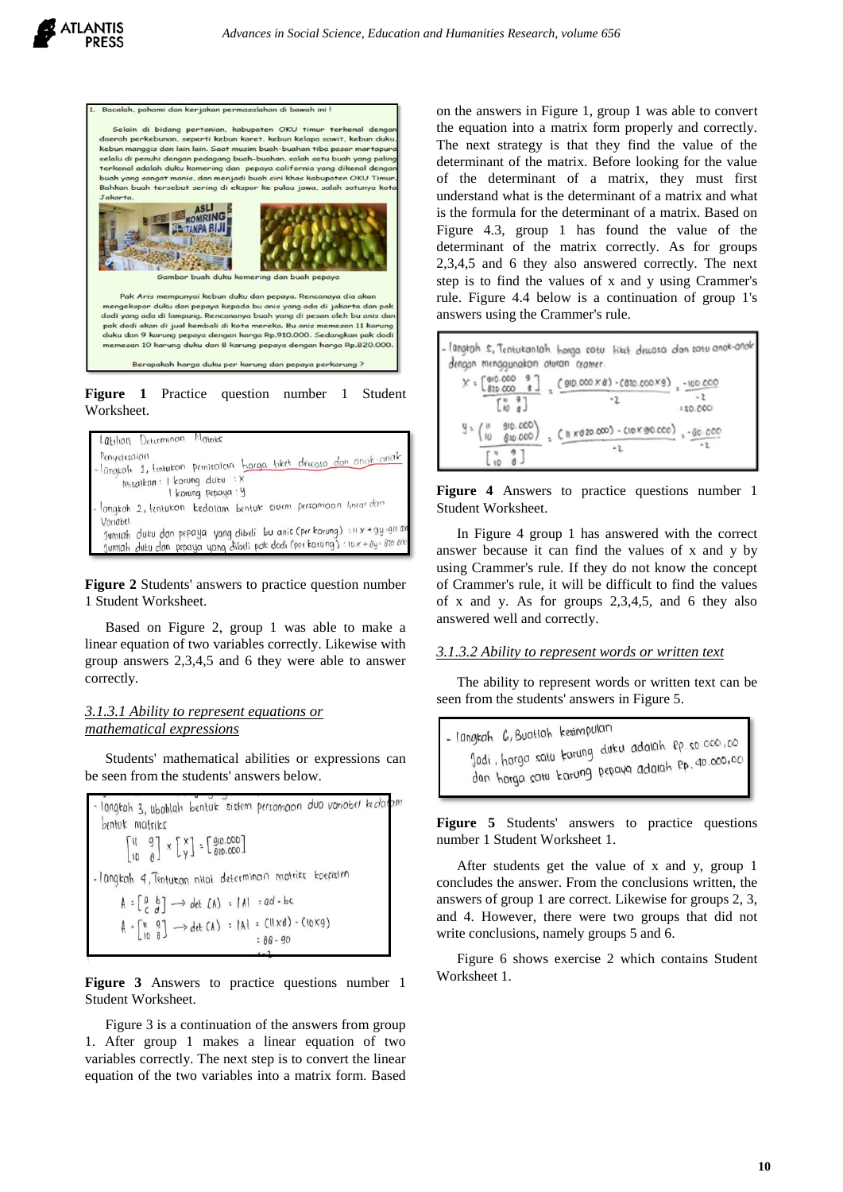

**Figure 1** Practice question number 1 Student Worksheet.



**Figure 2** Students' answers to practice question number 1 Student Worksheet.

Based on Figure 2, group 1 was able to make a linear equation of two variables correctly. Likewise with group answers 2,3,4,5 and 6 they were able to answer correctly.

## *3.1.3.1 Ability to represent equations or mathematical expressions*

Students' mathematical abilities or expressions can be seen from the students' answers below.

langtah 3, ubahlah bentuk sistem persamaan dua variabel kedalam bentuk matriks  $\begin{bmatrix} 11 & 9 \\ 10 & 0 \end{bmatrix} \times \begin{bmatrix} x \\ y \end{bmatrix} = \begin{bmatrix} 910.000 \\ 820.000 \end{bmatrix}$ -langkah 4, Tentutan nilai determinan matriks koepisien  $A : \begin{bmatrix} a & b \\ c & d \end{bmatrix} \longrightarrow \det (A) : |A| = ad - bc$  $A \cdot \begin{bmatrix} 0 & 0 \\ 0 & 0 \end{bmatrix} \longrightarrow \det(A) = [A] \cdot [B \times 0] - (10 \times 9)$  $38 - 90$ 

**Figure 3** Answers to practice questions number 1 Student Worksheet.

Figure 3 is a continuation of the answers from group 1. After group 1 makes a linear equation of two variables correctly. The next step is to convert the linear equation of the two variables into a matrix form. Based

on the answers in Figure 1, group 1 was able to convert the equation into a matrix form properly and correctly. The next strategy is that they find the value of the determinant of the matrix. Before looking for the value of the determinant of a matrix, they must first understand what is the determinant of a matrix and what is the formula for the determinant of a matrix. Based on Figure 4.3, group 1 has found the value of the determinant of the matrix correctly. As for groups 2,3,4,5 and 6 they also answered correctly. The next step is to find the values of x and y using Crammer's rule. Figure 4.4 below is a continuation of group 1's answers using the Crammer's rule.



**Figure 4** Answers to practice questions number 1 Student Worksheet.

In Figure 4 group 1 has answered with the correct answer because it can find the values of x and y by using Crammer's rule. If they do not know the concept of Crammer's rule, it will be difficult to find the values of x and y. As for groups 2,3,4,5, and 6 they also answered well and correctly.

#### *3.1.3.2 Ability to represent words or written text*

The ability to represent words or written text can be seen from the students' answers in Figure 5.



Figure 5 Students' answers to practice questions number 1 Student Worksheet 1.

After students get the value of x and y, group 1 concludes the answer. From the conclusions written, the answers of group 1 are correct. Likewise for groups 2, 3, and 4. However, there were two groups that did not write conclusions, namely groups 5 and 6.

Figure 6 shows exercise 2 which contains Student Worksheet 1.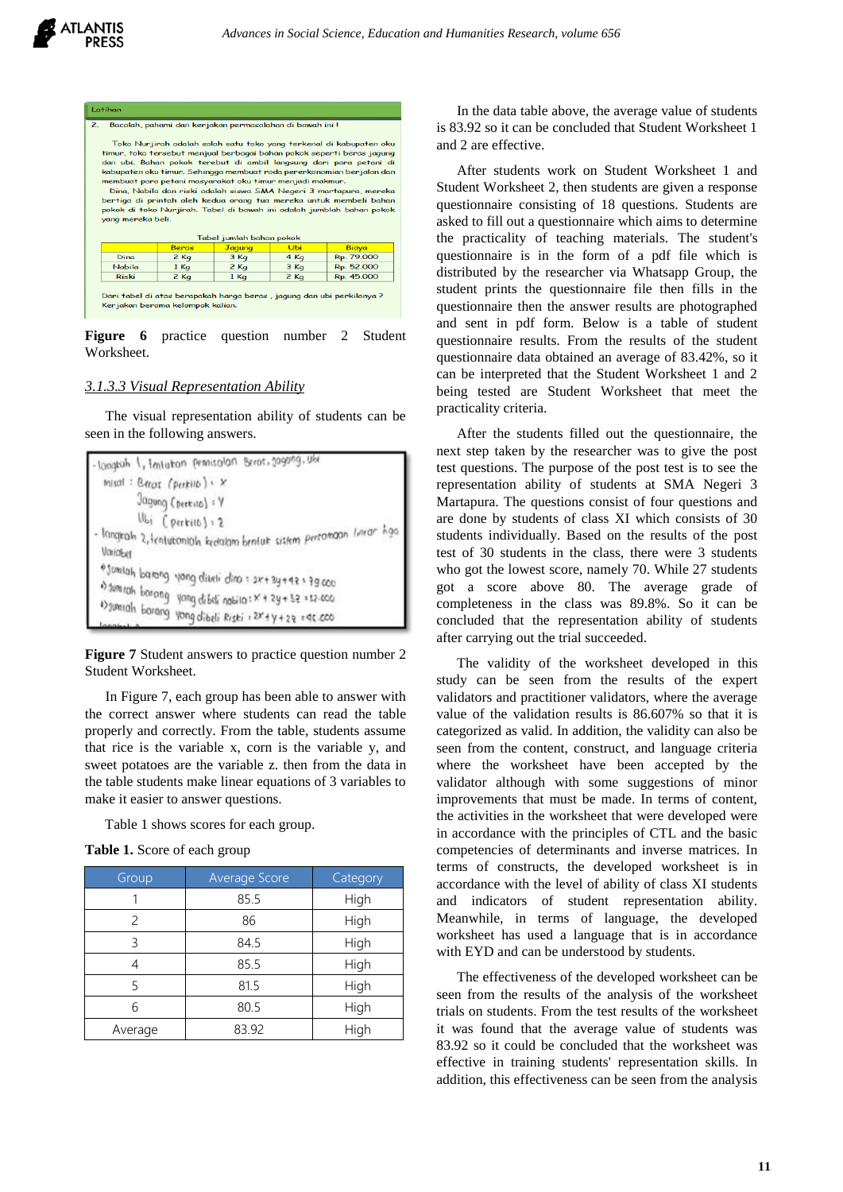| $\mathbf{2}$<br>Bacalah, pahami dan kerjakan permasalahan di bawah ini l<br>Toko Nurjirah adalah salah satu toko yang terkenal di kabupaten oku<br>timur, toko tersebut menjual berbagai bahan pokok seperti beras jagung<br>dan ubi. Bahan pokok terebut di ambil langsung dari para petani di<br>kabupaten oku timur. Sehingga membuat roda pererkonomian berjalan dan<br>membuat para petani masyarakat oku timur menjadi makmur.<br>Dina, Nabila dan riski adalah siswa SMA Negeri 3 martapura, mereka<br>bertiga di printah oleh kedua orang tua mereka untuk membeli bahan<br>pokok di toko Nurjirah. Tabel di bawah ini adalah jumblah bahan pokok<br>yang mereka beli. |              |               |        |            |  |  |
|--------------------------------------------------------------------------------------------------------------------------------------------------------------------------------------------------------------------------------------------------------------------------------------------------------------------------------------------------------------------------------------------------------------------------------------------------------------------------------------------------------------------------------------------------------------------------------------------------------------------------------------------------------------------------------|--------------|---------------|--------|------------|--|--|
| Tabel jumlah bahan pokok                                                                                                                                                                                                                                                                                                                                                                                                                                                                                                                                                                                                                                                       |              |               |        |            |  |  |
|                                                                                                                                                                                                                                                                                                                                                                                                                                                                                                                                                                                                                                                                                | <b>Bergs</b> | <b>Jagung</b> | Ubi    | Biaya      |  |  |
| <b>Dina</b>                                                                                                                                                                                                                                                                                                                                                                                                                                                                                                                                                                                                                                                                    | $2$ Kg       | $3$ Kg        | 4 Kg   | Rp. 79.000 |  |  |
| <b>Nabila</b>                                                                                                                                                                                                                                                                                                                                                                                                                                                                                                                                                                                                                                                                  | $1$ Kg       | $2$ Kg        | $3$ Kq | Rp. 52.000 |  |  |
| <b>Riski</b>                                                                                                                                                                                                                                                                                                                                                                                                                                                                                                                                                                                                                                                                   | $2$ Kg       | $1$ Kg        | $2$ Kg | Rp. 45.000 |  |  |
| Dari tabel di atas berapakah harga beras, jagung dan ubi perkilonya ?<br>Kerjakan berama kelompok kalian.                                                                                                                                                                                                                                                                                                                                                                                                                                                                                                                                                                      |              |               |        |            |  |  |

**Figure 6** practice question number 2 Student Worksheet.

#### *3.1.3.3 Visual Representation Ability*

The visual representation ability of students can be seen in the following answers.

```
longtoh 1, Imiutan printalan Berot, 109009, Uhr
  mask: Baror (perkilo) \cdot xJagung (perkiso) : Y
            Ubi (perkitt) : 2
- langrah 2,tenturaniah kedalam bentuk siskim persomaan limar hga
 Variabel
 *Jumlah barang yang diseli dina = 2x+2y+42 = 79.000<br>*Jumlah baran
 030010h barang yang dibeli nabila: X + 2y + 3z = 12.600<br>Damuah barang yang dibeli nabila: X + 2y + 3z = 12.600
 $) sumsah barang yang dibeli nabira: x + 2y + 32 = 52:000<br>tanahun alarang yang dibeli Riski : 2x + y + 2z = 9c.000
```
**Figure 7** Student answers to practice question number 2 Student Worksheet.

In Figure 7, each group has been able to answer with the correct answer where students can read the table properly and correctly. From the table, students assume that rice is the variable x, corn is the variable y, and sweet potatoes are the variable z. then from the data in the table students make linear equations of 3 variables to make it easier to answer questions.

Table 1 shows scores for each group.

**Table 1.** Score of each group

| Group   | Average Score | Category |
|---------|---------------|----------|
|         | 85.5          | High     |
| 2       | 86            | High     |
| 3       | 84.5          | High     |
| 4       | 85.5          | High     |
| 5       | 81.5          | High     |
| 6       | 80.5          | High     |
| Average | 83.92         | High     |

In the data table above, the average value of students is 83.92 so it can be concluded that Student Worksheet 1 and 2 are effective.

After students work on Student Worksheet 1 and Student Worksheet 2, then students are given a response questionnaire consisting of 18 questions. Students are asked to fill out a questionnaire which aims to determine the practicality of teaching materials. The student's questionnaire is in the form of a pdf file which is distributed by the researcher via Whatsapp Group, the student prints the questionnaire file then fills in the questionnaire then the answer results are photographed and sent in pdf form. Below is a table of student questionnaire results. From the results of the student questionnaire data obtained an average of 83.42%, so it can be interpreted that the Student Worksheet 1 and 2 being tested are Student Worksheet that meet the practicality criteria.

After the students filled out the questionnaire, the next step taken by the researcher was to give the post test questions. The purpose of the post test is to see the representation ability of students at SMA Negeri 3 Martapura. The questions consist of four questions and are done by students of class XI which consists of 30 students individually. Based on the results of the post test of 30 students in the class, there were 3 students who got the lowest score, namely 70. While 27 students got a score above 80. The average grade of completeness in the class was 89.8%. So it can be concluded that the representation ability of students after carrying out the trial succeeded.

The validity of the worksheet developed in this study can be seen from the results of the expert validators and practitioner validators, where the average value of the validation results is 86.607% so that it is categorized as valid. In addition, the validity can also be seen from the content, construct, and language criteria where the worksheet have been accepted by the validator although with some suggestions of minor improvements that must be made. In terms of content, the activities in the worksheet that were developed were in accordance with the principles of CTL and the basic competencies of determinants and inverse matrices. In terms of constructs, the developed worksheet is in accordance with the level of ability of class XI students and indicators of student representation ability. Meanwhile, in terms of language, the developed worksheet has used a language that is in accordance with EYD and can be understood by students.

The effectiveness of the developed worksheet can be seen from the results of the analysis of the worksheet trials on students. From the test results of the worksheet it was found that the average value of students was 83.92 so it could be concluded that the worksheet was effective in training students' representation skills. In addition, this effectiveness can be seen from the analysis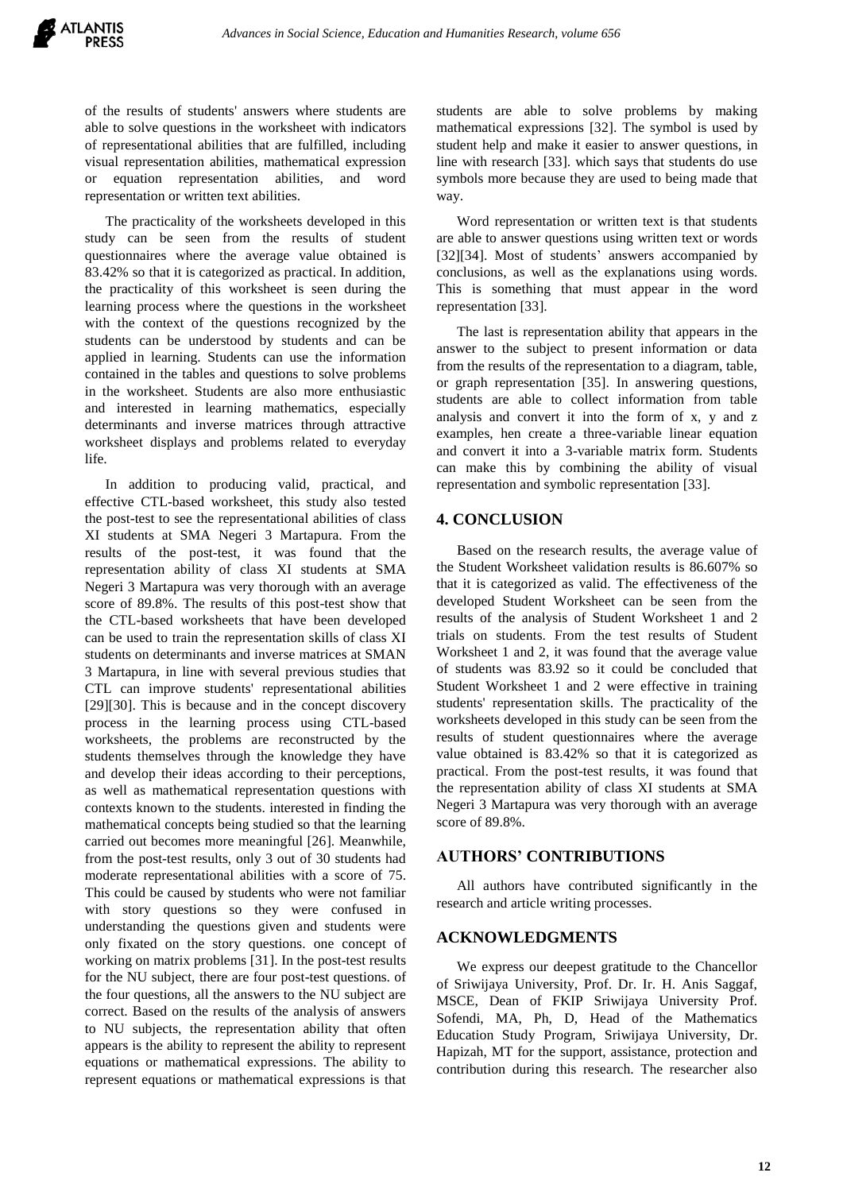of the results of students' answers where students are able to solve questions in the worksheet with indicators of representational abilities that are fulfilled, including visual representation abilities, mathematical expression or equation representation abilities, and word representation or written text abilities.

The practicality of the worksheets developed in this study can be seen from the results of student questionnaires where the average value obtained is 83.42% so that it is categorized as practical. In addition, the practicality of this worksheet is seen during the learning process where the questions in the worksheet with the context of the questions recognized by the students can be understood by students and can be applied in learning. Students can use the information contained in the tables and questions to solve problems in the worksheet. Students are also more enthusiastic and interested in learning mathematics, especially determinants and inverse matrices through attractive worksheet displays and problems related to everyday life.

In addition to producing valid, practical, and effective CTL-based worksheet, this study also tested the post-test to see the representational abilities of class XI students at SMA Negeri 3 Martapura. From the results of the post-test, it was found that the representation ability of class XI students at SMA Negeri 3 Martapura was very thorough with an average score of 89.8%. The results of this post-test show that the CTL-based worksheets that have been developed can be used to train the representation skills of class XI students on determinants and inverse matrices at SMAN 3 Martapura, in line with several previous studies that CTL can improve students' representational abilities [29][30]. This is because and in the concept discovery process in the learning process using CTL-based worksheets, the problems are reconstructed by the students themselves through the knowledge they have and develop their ideas according to their perceptions, as well as mathematical representation questions with contexts known to the students. interested in finding the mathematical concepts being studied so that the learning carried out becomes more meaningful [26]. Meanwhile, from the post-test results, only 3 out of 30 students had moderate representational abilities with a score of 75. This could be caused by students who were not familiar with story questions so they were confused in understanding the questions given and students were only fixated on the story questions. one concept of working on matrix problems [31]. In the post-test results for the NU subject, there are four post-test questions. of the four questions, all the answers to the NU subject are correct. Based on the results of the analysis of answers to NU subjects, the representation ability that often appears is the ability to represent the ability to represent equations or mathematical expressions. The ability to represent equations or mathematical expressions is that students are able to solve problems by making mathematical expressions [32]. The symbol is used by student help and make it easier to answer questions, in line with research [33]. which says that students do use symbols more because they are used to being made that way.

Word representation or written text is that students are able to answer questions using written text or words [32][34]. Most of students' answers accompanied by conclusions, as well as the explanations using words. This is something that must appear in the word representation [33].

The last is representation ability that appears in the answer to the subject to present information or data from the results of the representation to a diagram, table, or graph representation [35]. In answering questions, students are able to collect information from table analysis and convert it into the form of x, y and z examples, hen create a three-variable linear equation and convert it into a 3-variable matrix form. Students can make this by combining the ability of visual representation and symbolic representation [33].

# **4. CONCLUSION**

Based on the research results, the average value of the Student Worksheet validation results is 86.607% so that it is categorized as valid. The effectiveness of the developed Student Worksheet can be seen from the results of the analysis of Student Worksheet 1 and 2 trials on students. From the test results of Student Worksheet 1 and 2, it was found that the average value of students was 83.92 so it could be concluded that Student Worksheet 1 and 2 were effective in training students' representation skills. The practicality of the worksheets developed in this study can be seen from the results of student questionnaires where the average value obtained is 83.42% so that it is categorized as practical. From the post-test results, it was found that the representation ability of class XI students at SMA Negeri 3 Martapura was very thorough with an average score of 89.8%.

# **AUTHORS' CONTRIBUTIONS**

All authors have contributed significantly in the research and article writing processes.

#### **ACKNOWLEDGMENTS**

We express our deepest gratitude to the Chancellor of Sriwijaya University, Prof. Dr. Ir. H. Anis Saggaf, MSCE, Dean of FKIP Sriwijaya University Prof. Sofendi, MA, Ph, D, Head of the Mathematics Education Study Program, Sriwijaya University, Dr. Hapizah, MT for the support, assistance, protection and contribution during this research. The researcher also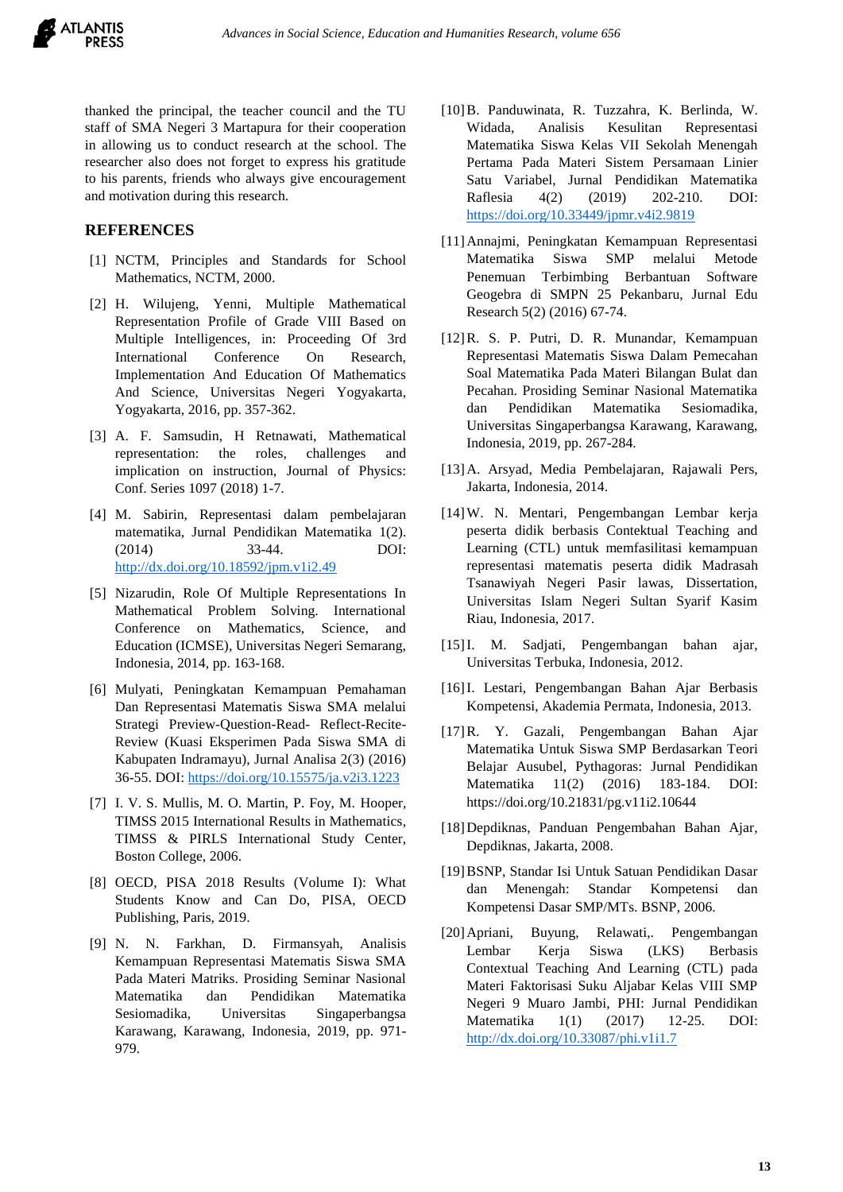

thanked the principal, the teacher council and the TU staff of SMA Negeri 3 Martapura for their cooperation in allowing us to conduct research at the school. The researcher also does not forget to express his gratitude to his parents, friends who always give encouragement and motivation during this research.

# **REFERENCES**

- [1] NCTM, Principles and Standards for School Mathematics, NCTM, 2000.
- [2] H. Wilujeng, Yenni, Multiple Mathematical Representation Profile of Grade VIII Based on Multiple Intelligences, in: Proceeding Of 3rd International Conference On Research, Implementation And Education Of Mathematics And Science, Universitas Negeri Yogyakarta, Yogyakarta, 2016, pp. 357-362.
- [3] A. F. Samsudin, H Retnawati, Mathematical representation: the roles, challenges and implication on instruction, Journal of Physics: Conf. Series 1097 (2018) 1-7.
- [4] M. Sabirin, Representasi dalam pembelajaran matematika, Jurnal Pendidikan Matematika 1(2). (2014) 33-44. DOI: <http://dx.doi.org/10.18592/jpm.v1i2.49>
- [5] Nizarudin, Role Of Multiple Representations In Mathematical Problem Solving. International Conference on Mathematics, Science, and Education (ICMSE), Universitas Negeri Semarang, Indonesia, 2014, pp. 163-168.
- [6] Mulyati, Peningkatan Kemampuan Pemahaman Dan Representasi Matematis Siswa SMA melalui Strategi Preview-Question-Read- Reflect-Recite-Review (Kuasi Eksperimen Pada Siswa SMA di Kabupaten Indramayu), Jurnal Analisa 2(3) (2016) 36-55. DOI[: https://doi.org/10.15575/ja.v2i3.1223](https://doi.org/10.15575/ja.v2i3.1223)
- [7] I. V. S. Mullis, M. O. Martin, P. Foy, M. Hooper, TIMSS 2015 International Results in Mathematics, TIMSS & PIRLS International Study Center, Boston College, 2006.
- [8] OECD, PISA 2018 Results (Volume I): What Students Know and Can Do, PISA, OECD Publishing, Paris, 2019.
- [9] N. N. Farkhan, D. Firmansyah, Analisis Kemampuan Representasi Matematis Siswa SMA Pada Materi Matriks. Prosiding Seminar Nasional Matematika dan Pendidikan Matematika Sesiomadika, Universitas Singaperbangsa Karawang, Karawang, Indonesia, 2019, pp. 971- 979.
- [10]B. Panduwinata, R. Tuzzahra, K. Berlinda, W. Widada, Analisis Kesulitan Representasi Matematika Siswa Kelas VII Sekolah Menengah Pertama Pada Materi Sistem Persamaan Linier Satu Variabel, Jurnal Pendidikan Matematika Raflesia 4(2) (2019) 202-210. DOI: <https://doi.org/10.33449/jpmr.v4i2.9819>
- [11]Annajmi, Peningkatan Kemampuan Representasi Matematika Siswa SMP melalui Metode Penemuan Terbimbing Berbantuan Software Geogebra di SMPN 25 Pekanbaru, Jurnal Edu Research 5(2) (2016) 67-74.
- [12]R. S. P. Putri, D. R. Munandar, Kemampuan Representasi Matematis Siswa Dalam Pemecahan Soal Matematika Pada Materi Bilangan Bulat dan Pecahan. Prosiding Seminar Nasional Matematika dan Pendidikan Matematika Sesiomadika, Universitas Singaperbangsa Karawang, Karawang, Indonesia, 2019, pp. 267-284.
- [13]A. Arsyad, Media Pembelajaran, Rajawali Pers, Jakarta, Indonesia, 2014.
- [14]W. N. Mentari, Pengembangan Lembar kerja peserta didik berbasis Contektual Teaching and Learning (CTL) untuk memfasilitasi kemampuan representasi matematis peserta didik Madrasah Tsanawiyah Negeri Pasir lawas, Dissertation, Universitas Islam Negeri Sultan Syarif Kasim Riau, Indonesia, 2017.
- [15]I. M. Sadjati, Pengembangan bahan ajar, Universitas Terbuka, Indonesia, 2012.
- [16]I. Lestari, Pengembangan Bahan Ajar Berbasis Kompetensi, Akademia Permata, Indonesia, 2013.
- [17]R. Y. Gazali, Pengembangan Bahan Ajar Matematika Untuk Siswa SMP Berdasarkan Teori Belajar Ausubel, Pythagoras: Jurnal Pendidikan Matematika 11(2) (2016) 183-184. DOI: https://doi.org/10.21831/pg.v11i2.10644
- [18]Depdiknas, Panduan Pengembahan Bahan Ajar, Depdiknas, Jakarta, 2008.
- [19]BSNP, Standar Isi Untuk Satuan Pendidikan Dasar dan Menengah: Standar Kompetensi dan Kompetensi Dasar SMP/MTs. BSNP, 2006.
- [20]Apriani, Buyung, Relawati,. Pengembangan Lembar Kerja Siswa (LKS) Berbasis Contextual Teaching And Learning (CTL) pada Materi Faktorisasi Suku Aljabar Kelas VIII SMP Negeri 9 Muaro Jambi, PHI: Jurnal Pendidikan Matematika 1(1) (2017) 12-25. DOI: <http://dx.doi.org/10.33087/phi.v1i1.7>